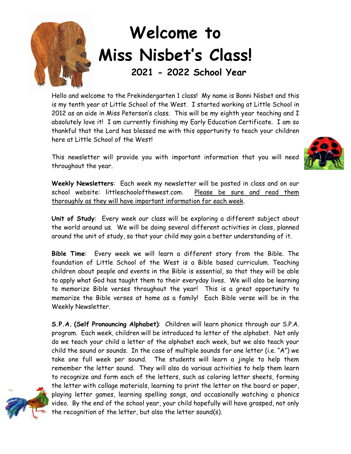

## **Welcome to Miss Nisbet's Class!**

 **2021 - 2022 School Year**

Hello and welcome to the Prekindergarten 1 class! My name is Bonni Nisbet and this is my tenth year at Little School of the West. I started working at Little School in 2012 as an aide in Miss Peterson's class. This will be my eighth year teaching and I absolutely love it! I am currently finishing my Early Education Certificate. I am so thankful that the Lord has blessed me with this opportunity to teach your children here at Little School of the West!

This newsletter will provide you with important information that you will need throughout the year.



**Weekly Newsletters**: Each week my newsletter will be posted in class and on our school website: littleschoolofthewest.com. Please be sure and read them thoroughly as they will have important information for each week.

**Unit of Study**: Every week our class will be exploring a different subject about the world around us. We will be doing several different activities in class, planned around the unit of study, so that your child may gain a better understanding of it.

**Bible Time**: Every week we will learn a different story from the Bible. The foundation of Little School of the West is a Bible based curriculum. Teaching children about people and events in the Bible is essential, so that they will be able to apply what God has taught them to their everyday lives. We will also be learning to memorize Bible verses throughout the year! This is a great opportunity to memorize the Bible verses at home as a family! Each Bible verse will be in the Weekly Newsletter.

**S.P.A. (Self Pronouncing Alphabet)**: Children will learn phonics through our S.P.A. program. Each week, children will be introduced to letter of the alphabet. Not only do we teach your child a letter of the alphabet each week, but we also teach your child the sound or sounds. In the case of multiple sounds for one letter (i.e. "A") we take one full week per sound. The students will learn a jingle to help them remember the letter sound. They will also do various activities to help them learn to recognize and form each of the letters, such as coloring letter sheets, forming the letter with collage materials, learning to print the letter on the board or paper, playing letter games, learning spelling songs, and occasionally watching a phonics video. By the end of the school year, your child hopefully will have grasped, not only the recognition of the letter, but also the letter sound(s).